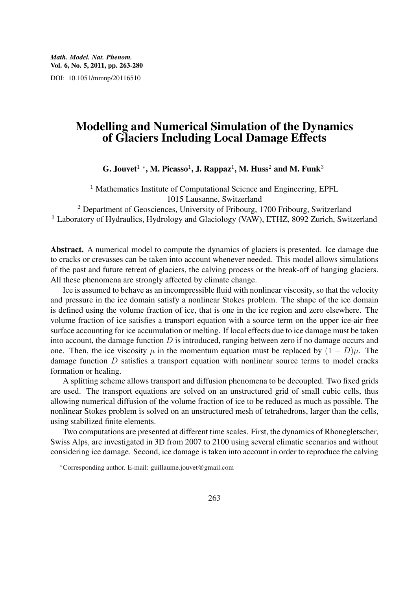### Modelling and Numerical Simulation of the Dynamics of Glaciers Including Local Damage Effects

G. Jouvet $^{1\,\,*},$  M. Picasso $^{1},$  J. Rappaz $^{1},$  M. Huss $^{2}$  and M. Funk $^{3}$ 

<sup>1</sup> Mathematics Institute of Computational Science and Engineering, EPFL 1015 Lausanne, Switzerland

<sup>2</sup> Department of Geosciences, University of Fribourg, 1700 Fribourg, Switzerland <sup>3</sup> Laboratory of Hydraulics, Hydrology and Glaciology (VAW), ETHZ, 8092 Zurich, Switzerland

Abstract. A numerical model to compute the dynamics of glaciers is presented. Ice damage due to cracks or crevasses can be taken into account whenever needed. This model allows simulations of the past and future retreat of glaciers, the calving process or the break-off of hanging glaciers. All these phenomena are strongly affected by climate change.

Ice is assumed to behave as an incompressible fluid with nonlinear viscosity, so that the velocity and pressure in the ice domain satisfy a nonlinear Stokes problem. The shape of the ice domain is defined using the volume fraction of ice, that is one in the ice region and zero elsewhere. The volume fraction of ice satisfies a transport equation with a source term on the upper ice-air free surface accounting for ice accumulation or melting. If local effects due to ice damage must be taken into account, the damage function  $D$  is introduced, ranging between zero if no damage occurs and one. Then, the ice viscosity  $\mu$  in the momentum equation must be replaced by  $(1 - D)\mu$ . The damage function D satisfies a transport equation with nonlinear source terms to model cracks formation or healing.

A splitting scheme allows transport and diffusion phenomena to be decoupled. Two fixed grids are used. The transport equations are solved on an unstructured grid of small cubic cells, thus allowing numerical diffusion of the volume fraction of ice to be reduced as much as possible. The nonlinear Stokes problem is solved on an unstructured mesh of tetrahedrons, larger than the cells, using stabilized finite elements.

Two computations are presented at different time scales. First, the dynamics of Rhonegletscher, Swiss Alps, are investigated in 3D from 2007 to 2100 using several climatic scenarios and without considering ice damage. Second, ice damage is taken into account in order to reproduce the calving

<sup>∗</sup>Corresponding author. E-mail: guillaume.jouvet@gmail.com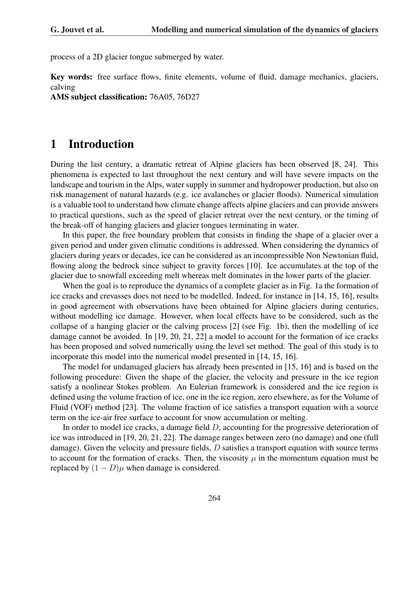process of a 2D glacier tongue submerged by water.

Key words: free surface flows, finite elements, volume of fluid, damage mechanics, glaciers, calving

AMS subject classification: 76A05, 76D27

### 1 Introduction

During the last century, a dramatic retreat of Alpine glaciers has been observed [8, 24]. This phenomena is expected to last throughout the next century and will have severe impacts on the landscape and tourism in the Alps, water supply in summer and hydropower production, but also on risk management of natural hazards (e.g. ice avalanches or glacier floods). Numerical simulation is a valuable tool to understand how climate change affects alpine glaciers and can provide answers to practical questions, such as the speed of glacier retreat over the next century, or the timing of the break-off of hanging glaciers and glacier tongues terminating in water.

In this paper, the free boundary problem that consists in finding the shape of a glacier over a given period and under given climatic conditions is addressed. When considering the dynamics of glaciers during years or decades, ice can be considered as an incompressible Non Newtonian fluid, flowing along the bedrock since subject to gravity forces [10]. Ice accumulates at the top of the glacier due to snowfall exceeding melt whereas melt dominates in the lower parts of the glacier.

When the goal is to reproduce the dynamics of a complete glacier as in Fig. 1a the formation of ice cracks and crevasses does not need to be modelled. Indeed, for instance in [14, 15, 16], results in good agreement with observations have been obtained for Alpine glaciers during centuries, without modelling ice damage. However, when local effects have to be considered, such as the collapse of a hanging glacier or the calving process [2] (see Fig. 1b), then the modelling of ice damage cannot be avoided. In [19, 20, 21, 22] a model to account for the formation of ice cracks has been proposed and solved numerically using the level set method. The goal of this study is to incorporate this model into the numerical model presented in [14, 15, 16].

The model for undamaged glaciers has already been presented in [15, 16] and is based on the following procedure: Given the shape of the glacier, the velocity and pressure in the ice region satisfy a nonlinear Stokes problem. An Eulerian framework is considered and the ice region is defined using the volume fraction of ice, one in the ice region, zero elsewhere, as for the Volume of Fluid (VOF) method [23]. The volume fraction of ice satisfies a transport equation with a source term on the ice-air free surface to account for snow accumulation or melting.

In order to model ice cracks, a damage field D, accounting for the progressive deterioration of ice was introduced in [19, 20, 21, 22]. The damage ranges between zero (no damage) and one (full damage). Given the velocity and pressure fields, D satisfies a transport equation with source terms to account for the formation of cracks. Then, the viscosity  $\mu$  in the momentum equation must be replaced by  $(1 - D)\mu$  when damage is considered.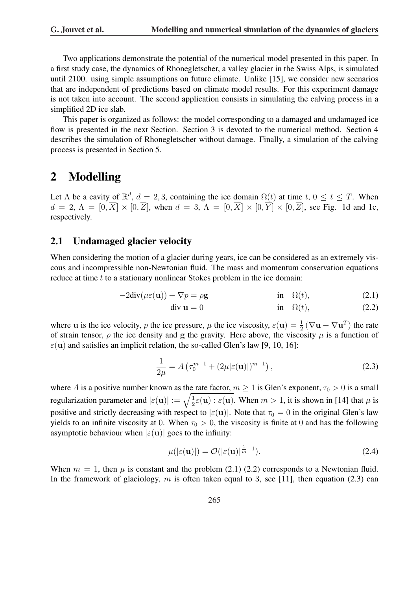Two applications demonstrate the potential of the numerical model presented in this paper. In a first study case, the dynamics of Rhonegletscher, a valley glacier in the Swiss Alps, is simulated until 2100. using simple assumptions on future climate. Unlike [15], we consider new scenarios that are independent of predictions based on climate model results. For this experiment damage is not taken into account. The second application consists in simulating the calving process in a simplified 2D ice slab.

This paper is organized as follows: the model corresponding to a damaged and undamaged ice flow is presented in the next Section. Section 3 is devoted to the numerical method. Section 4 describes the simulation of Rhonegletscher without damage. Finally, a simulation of the calving process is presented in Section 5.

## 2 Modelling

Let  $\Lambda$  be a cavity of  $\mathbb{R}^d$ ,  $d = 2, 3$ , containing the ice domain  $\Omega(t)$  at time  $t, 0 \le t \le T$ . When  $d = 2, \Lambda = [0, \overline{X}] \times [0, \overline{Z}]$ , when  $d = 3, \Lambda = [0, \overline{X}] \times [0, \overline{Y}] \times [0, \overline{Z}]$ , see Fig. 1d and 1c, respectively.

### 2.1 Undamaged glacier velocity

When considering the motion of a glacier during years, ice can be considered as an extremely viscous and incompressible non-Newtonian fluid. The mass and momentum conservation equations reduce at time t to a stationary nonlinear Stokes problem in the ice domain:

$$
-2\text{div}(\mu\varepsilon(\mathbf{u})) + \nabla p = \rho \mathbf{g} \qquad \text{in} \quad \Omega(t), \tag{2.1}
$$

$$
\text{div } \mathbf{u} = 0 \qquad \qquad \text{in} \quad \Omega(t), \tag{2.2}
$$

where u is the ice velocity, p the ice pressure,  $\mu$  the ice viscosity,  $\varepsilon(\mathbf{u}) = \frac{1}{2} (\nabla \mathbf{u} + \nabla \mathbf{u}^T)$  the rate of strain tensor,  $\rho$  the ice density and g the gravity. Here above, the viscosity  $\mu$  is a function of  $\varepsilon$ (u) and satisfies an implicit relation, the so-called Glen's law [9, 10, 16]:

$$
\frac{1}{2\mu} = A \left( \tau_0^{m-1} + (2\mu |\varepsilon(\mathbf{u})|)^{m-1} \right),\tag{2.3}
$$

where A is a positive number known as the rate factor,  $m \ge 1$  is Glen's exponent,  $\tau_0 > 0$  is a small where *A* is a positive number known as the<br>regularization parameter and  $|\varepsilon(\mathbf{u})| := \sqrt{\frac{1}{2}}$  $\frac{1}{2}\varepsilon(\mathbf{u}): \varepsilon(\mathbf{u})$ . When  $m > 1$ , it is shown in [14] that  $\mu$  is positive and strictly decreasing with respect to  $|\varepsilon(\mathbf{u})|$ . Note that  $\tau_0 = 0$  in the original Glen's law yields to an infinite viscosity at 0. When  $\tau_0 > 0$ , the viscosity is finite at 0 and has the following asymptotic behaviour when  $|\varepsilon(\mathbf{u})|$  goes to the infinity:

$$
\mu(|\varepsilon(\mathbf{u})|) = \mathcal{O}(|\varepsilon(\mathbf{u})|^{\frac{1}{m}-1}).\tag{2.4}
$$

When  $m = 1$ , then  $\mu$  is constant and the problem (2.1) (2.2) corresponds to a Newtonian fluid. In the framework of glaciology, m is often taken equal to 3, see [11], then equation (2.3) can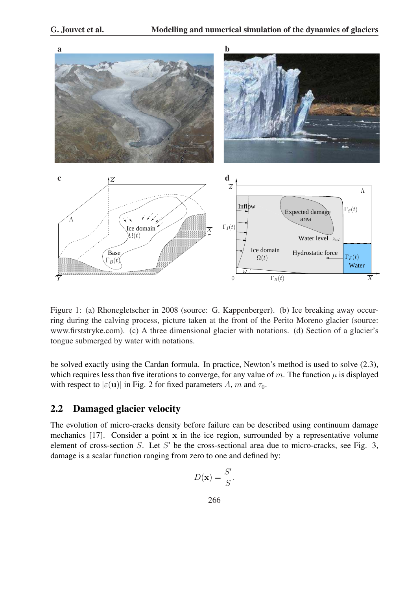

Figure 1: (a) Rhonegletscher in 2008 (source: G. Kappenberger). (b) Ice breaking away occurring during the calving process, picture taken at the front of the Perito Moreno glacier (source: www.firststryke.com). (c) A three dimensional glacier with notations. (d) Section of a glacier's tongue submerged by water with notations.

be solved exactly using the Cardan formula. In practice, Newton's method is used to solve (2.3), which requires less than five iterations to converge, for any value of m. The function  $\mu$  is displayed with respect to  $|\varepsilon(\mathbf{u})|$  in Fig. 2 for fixed parameters A, m and  $\tau_0$ .

### 2.2 Damaged glacier velocity

The evolution of micro-cracks density before failure can be described using continuum damage mechanics [17]. Consider a point x in the ice region, surrounded by a representative volume element of cross-section  $S$ . Let  $S'$  be the cross-sectional area due to micro-cracks, see Fig. 3, damage is a scalar function ranging from zero to one and defined by:

$$
D(\mathbf{x}) = \frac{S'}{S}.
$$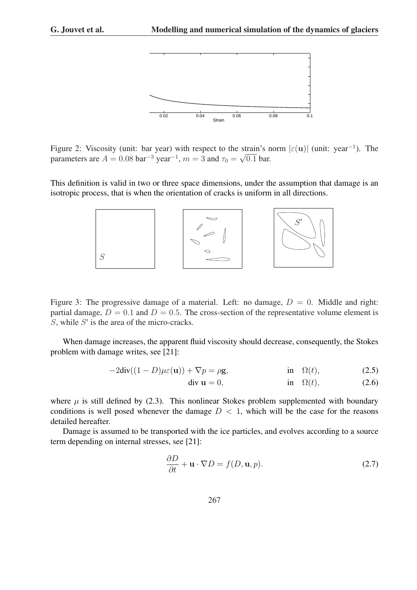

Figure 2: Viscosity (unit: bar year) with respect to the strain's norm  $|\varepsilon(\mathbf{u})|$  (unit: year<sup>-1</sup>). The parameters are  $A = 0.08$  bar<sup>-3</sup> year<sup>-1</sup>,  $m = 3$  and  $\tau_0 = \sqrt{0.1}$  bar.

This definition is valid in two or three space dimensions, under the assumption that damage is an isotropic process, that is when the orientation of cracks is uniform in all directions.



Figure 3: The progressive damage of a material. Left: no damage,  $D = 0$ . Middle and right: partial damage,  $D = 0.1$  and  $D = 0.5$ . The cross-section of the representative volume element is  $S$ , while  $S'$  is the area of the micro-cracks.

When damage increases, the apparent fluid viscosity should decrease, consequently, the Stokes problem with damage writes, see [21]:

$$
-2\text{div}((1-D)\mu\varepsilon(\mathbf{u})) + \nabla p = \rho \mathbf{g}, \qquad \text{in} \quad \Omega(t), \tag{2.5}
$$

$$
\text{div } \mathbf{u} = 0, \qquad \qquad \text{in} \quad \Omega(t), \tag{2.6}
$$

where  $\mu$  is still defined by (2.3). This nonlinear Stokes problem supplemented with boundary conditions is well posed whenever the damage  $D < 1$ , which will be the case for the reasons detailed hereafter.

Damage is assumed to be transported with the ice particles, and evolves according to a source term depending on internal stresses, see [21]:

$$
\frac{\partial D}{\partial t} + \mathbf{u} \cdot \nabla D = f(D, \mathbf{u}, p). \tag{2.7}
$$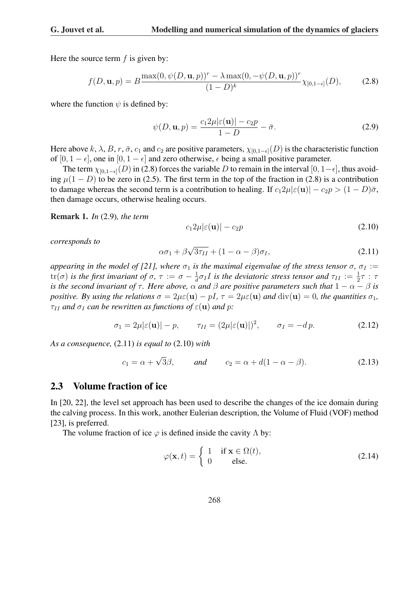Here the source term  $f$  is given by:

$$
f(D, \mathbf{u}, p) = B \frac{\max(0, \psi(D, \mathbf{u}, p))^r - \lambda \max(0, -\psi(D, \mathbf{u}, p))^r}{(1 - D)^k} \chi_{[0, 1 - \epsilon]}(D),
$$
 (2.8)

where the function  $\psi$  is defined by:

$$
\psi(D, \mathbf{u}, p) = \frac{c_1 2\mu |\varepsilon(\mathbf{u})| - c_2 p}{1 - D} - \bar{\sigma}.
$$
\n(2.9)

Here above k,  $\lambda$ , B, r,  $\bar{\sigma}$ ,  $c_1$  and  $c_2$  are positive parameters,  $\chi_{[0,1-\epsilon]}(D)$  is the characteristic function of [0, 1 –  $\epsilon$ ], one in [0, 1 –  $\epsilon$ ] and zero otherwise,  $\epsilon$  being a small positive parameter.

The term  $\chi_{[0,1-\epsilon]}(D)$  in (2.8) forces the variable D to remain in the interval  $[0,1-\epsilon]$ , thus avoiding  $\mu(1 - D)$  to be zero in (2.5). The first term in the top of the fraction in (2.8) is a contribution to damage whereas the second term is a contribution to healing. If  $c_12\mu|\epsilon(\mathbf{u})| - c_2p > (1 - D)\bar{\sigma}$ , then damage occurs, otherwise healing occurs.

Remark 1. *In* (2.9)*, the term*

$$
c_1 2\mu |\varepsilon(\mathbf{u})| - c_2 p \tag{2.10}
$$

*corresponds to*

$$
\alpha \sigma_1 + \beta \sqrt{3\tau_{II}} + (1 - \alpha - \beta)\sigma_I, \qquad (2.11)
$$

*appearing in the model of [21], where*  $\sigma_1$  *is the maximal eigenvalue of the stress tensor*  $\sigma$ ,  $\sigma_I :=$  $tr(\sigma)$  *is the first invariant of*  $\sigma$ ,  $\tau := \sigma - \frac{1}{d}$  $\frac{1}{d} \sigma_I I$  is the deviatoric stress tensor and  $\tau_{II} := \frac{1}{2} \tau : \tau$ *is the second invariant of*  $\tau$ *. Here above,*  $\alpha$  *and*  $\beta$  *are positive parameters such that*  $1 - \alpha - \beta$  *is positive. By using the relations*  $\sigma = 2\mu\varepsilon(\mathbf{u}) - pI$ ,  $\tau = 2\mu\varepsilon(\mathbf{u})$  *and*  $\text{div}(\mathbf{u}) = 0$ *, the quantities*  $\sigma_1$ *,*  $\tau_{II}$  *and*  $\sigma_{I}$  *can be rewritten as functions of*  $\varepsilon(\mathbf{u})$  *and* p:

$$
\sigma_1 = 2\mu |\varepsilon(\mathbf{u})| - p, \qquad \tau_{II} = (2\mu |\varepsilon(\mathbf{u})|)^2, \qquad \sigma_I = -dp. \tag{2.12}
$$

*As a consequence,* (2.11) *is equal to* (2.10) *with*

$$
c_1 = \alpha + \sqrt{3}\beta
$$
, and  $c_2 = \alpha + d(1 - \alpha - \beta)$ . (2.13)

#### 2.3 Volume fraction of ice

In [20, 22], the level set approach has been used to describe the changes of the ice domain during the calving process. In this work, another Eulerian description, the Volume of Fluid (VOF) method [23], is preferred.

The volume fraction of ice  $\varphi$  is defined inside the cavity  $\Lambda$  by:

$$
\varphi(\mathbf{x},t) = \begin{cases} 1 & \text{if } \mathbf{x} \in \Omega(t), \\ 0 & \text{else.} \end{cases}
$$
 (2.14)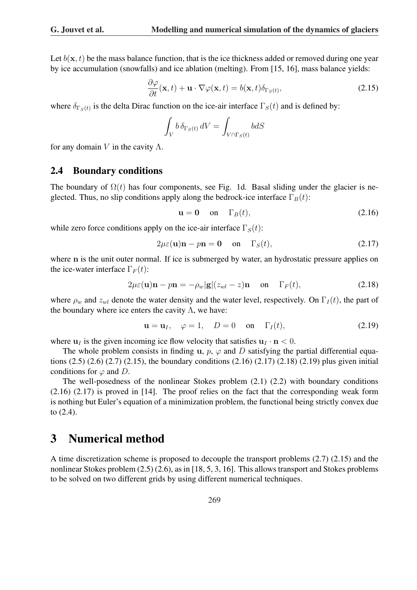Let  $b(\mathbf{x}, t)$  be the mass balance function, that is the ice thickness added or removed during one year by ice accumulation (snowfalls) and ice ablation (melting). From [15, 16], mass balance yields:

$$
\frac{\partial \varphi}{\partial t}(\mathbf{x},t) + \mathbf{u} \cdot \nabla \varphi(\mathbf{x},t) = b(\mathbf{x},t) \delta_{\Gamma_S(t)},
$$
\n(2.15)

where  $\delta_{\Gamma_S(t)}$  is the delta Dirac function on the ice-air interface  $\Gamma_S(t)$  and is defined by:

$$
\int_{V} b \,\delta_{\Gamma_{S}(t)} \,dV = \int_{V \cap \Gamma_{S}(t)} b dS
$$

for any domain V in the cavity  $\Lambda$ .

#### 2.4 Boundary conditions

The boundary of  $\Omega(t)$  has four components, see Fig. 1d. Basal sliding under the glacier is neglected. Thus, no slip conditions apply along the bedrock-ice interface  $\Gamma_B(t)$ :

$$
\mathbf{u} = \mathbf{0} \quad \text{on} \quad \Gamma_B(t), \tag{2.16}
$$

while zero force conditions apply on the ice-air interface  $\Gamma_S(t)$ :

$$
2\mu\varepsilon(\mathbf{u})\mathbf{n} - p\mathbf{n} = \mathbf{0} \quad \text{on} \quad \Gamma_S(t), \tag{2.17}
$$

where n is the unit outer normal. If ice is submerged by water, an hydrostatic pressure applies on the ice-water interface  $\Gamma_F(t)$ :

$$
2\mu\varepsilon(\mathbf{u})\mathbf{n} - p\mathbf{n} = -\rho_w|\mathbf{g}|(z_{wl} - z)\mathbf{n} \quad \text{on} \quad \Gamma_F(t), \tag{2.18}
$$

where  $\rho_w$  and  $z_{wl}$  denote the water density and the water level, respectively. On  $\Gamma_I(t)$ , the part of the boundary where ice enters the cavity  $\Lambda$ , we have:

$$
\mathbf{u} = \mathbf{u}_I, \quad \varphi = 1, \quad D = 0 \quad \text{on} \quad \Gamma_I(t), \tag{2.19}
$$

where  $u_I$  is the given incoming ice flow velocity that satisfies  $u_I \cdot n < 0$ .

The whole problem consists in finding u,  $p$ ,  $\varphi$  and D satisfying the partial differential equations (2.5) (2.6) (2.7) (2.15), the boundary conditions (2.16) (2.17) (2.18) (2.19) plus given initial conditions for  $\varphi$  and D.

The well-posedness of the nonlinear Stokes problem (2.1) (2.2) with boundary conditions (2.16) (2.17) is proved in [14]. The proof relies on the fact that the corresponding weak form is nothing but Euler's equation of a minimization problem, the functional being strictly convex due to (2.4).

### 3 Numerical method

A time discretization scheme is proposed to decouple the transport problems (2.7) (2.15) and the nonlinear Stokes problem (2.5) (2.6), as in [18, 5, 3, 16]. This allows transport and Stokes problems to be solved on two different grids by using different numerical techniques.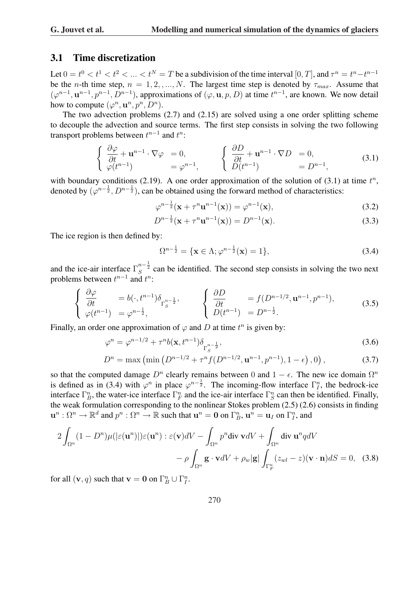#### 3.1 Time discretization

Let  $0 = t^0 < t^1 < t^2 < ... < t^N = T$  be a subdivision of the time interval  $[0, T]$ , and  $\tau^n = t^n - t^{n-1}$ be the n-th time step,  $n = 1, 2, ..., N$ . The largest time step is denoted by  $\tau_{max}$ . Assume that  $(\varphi^{n-1}, \mathbf{u}^{n-1}, p^{n-1}, D^{n-1})$ , approximations of  $(\varphi, \mathbf{u}, p, D)$  at time  $t^{n-1}$ , are known. We now detail how to compute  $(\varphi^n, \mathbf{u}^n, p^n, D^n)$ .

The two advection problems (2.7) and (2.15) are solved using a one order splitting scheme to decouple the advection and source terms. The first step consists in solving the two following transport problems between  $t^{n-1}$  and  $t^n$ :

$$
\begin{cases} \frac{\partial \varphi}{\partial t} + \mathbf{u}^{n-1} \cdot \nabla \varphi = 0, \\ \varphi(t^{n-1}) = \varphi^{n-1}, \end{cases} \qquad \begin{cases} \frac{\partial D}{\partial t} + \mathbf{u}^{n-1} \cdot \nabla D = 0, \\ D(t^{n-1}) = D^{n-1}, \end{cases}
$$
(3.1)

with boundary conditions (2.19). A one order approximation of the solution of (3.1) at time  $t^n$ , denoted by  $(\varphi^{n-\frac{1}{2}}, D^{n-\frac{1}{2}})$ , can be obtained using the forward method of characteristics:

$$
\varphi^{n-\frac{1}{2}}(\mathbf{x} + \tau^n \mathbf{u}^{n-1}(\mathbf{x})) = \varphi^{n-1}(\mathbf{x}),
$$
\n(3.2)

$$
D^{n-\frac{1}{2}}(\mathbf{x} + \tau^n \mathbf{u}^{n-1}(\mathbf{x})) = D^{n-1}(\mathbf{x}).
$$
\n(3.3)

The ice region is then defined by:

$$
\Omega^{n-\frac{1}{2}} = \{ \mathbf{x} \in \Lambda; \varphi^{n-\frac{1}{2}}(\mathbf{x}) = 1 \},\tag{3.4}
$$

and the ice-air interface  $\Gamma_S^{n-\frac{1}{2}}$  can be identified. The second step consists in solving the two next problems between  $t^{n-1}$  and  $t^n$ :  $\overline{a}$ 

$$
\begin{cases}\n\frac{\partial \varphi}{\partial t} = b(\cdot, t^{n-1}) \delta_{\Gamma_S^{n-\frac{1}{2}}}, \\
\varphi(t^{n-1}) = \varphi^{n-\frac{1}{2}},\n\end{cases}\n\qquad\n\begin{cases}\n\frac{\partial D}{\partial t} = f(D^{n-1/2}, \mathbf{u}^{n-1}, p^{n-1}), \\
D(t^{n-1}) = D^{n-\frac{1}{2}}.\n\end{cases}\n\tag{3.5}
$$

Finally, an order one approximation of  $\varphi$  and D at time  $t^n$  is given by:

$$
\varphi^{n} = \varphi^{n-1/2} + \tau^{n} b(\mathbf{x}, t^{n-1}) \delta_{\Gamma_{S}^{n-\frac{1}{2}}},
$$
\n(3.6)

$$
D^{n} = \max\left(\min\left(D^{n-1/2} + \tau^{n} f(D^{n-1/2}, \mathbf{u}^{n-1}, p^{n-1}), 1 - \epsilon\right), 0\right),\tag{3.7}
$$

so that the computed damage  $D^n$  clearly remains between 0 and  $1 - \epsilon$ . The new ice domain  $\Omega^n$ is defined as in (3.4) with  $\varphi^n$  in place  $\varphi^{n-\frac{1}{2}}$ . The incoming-flow interface  $\Gamma^n_I$ , the bedrock-ice interface  $\Gamma_B^n$ , the water-ice interface  $\Gamma_F^n$  and the ice-air interface  $\Gamma_S^n$  can then be identified. Finally, the weak formulation corresponding to the nonlinear Stokes problem (2.5) (2.6) consists in finding  $\mathbf{u}^n:\Omega^n\to\mathbb{R}^d$  and  $p^n:\Omega^n\to\mathbb{R}$  such that  $\mathbf{u}^n=\mathbf{0}$  on  $\Gamma_B^n$ ,  $\mathbf{u}^n=\mathbf{u}_I$  on  $\Gamma_I^n$ , and

$$
2\int_{\Omega^n} (1 - D^n)\mu(|\varepsilon(\mathbf{u}^n)|)\varepsilon(\mathbf{u}^n) : \varepsilon(\mathbf{v})dV - \int_{\Omega^n} p^n \text{div } \mathbf{v}dV + \int_{\Omega^n} \text{div } \mathbf{u}^n q dV
$$

$$
- \rho \int_{\Omega^n} \mathbf{g} \cdot \mathbf{v}dV + \rho_w |\mathbf{g}| \int_{\Gamma_F^n} (z_{wl} - z)(\mathbf{v} \cdot \mathbf{n})dS = 0, \quad (3.8)
$$

for all  $(v, q)$  such that  $v = 0$  on  $\Gamma_B^n \cup \Gamma_I^n$ .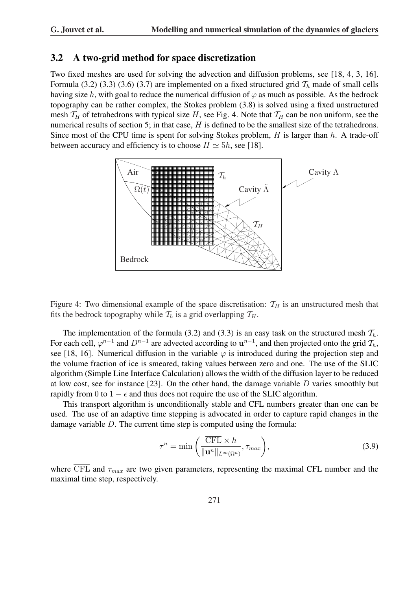#### 3.2 A two-grid method for space discretization

Two fixed meshes are used for solving the advection and diffusion problems, see [18, 4, 3, 16]. Formula (3.2) (3.3) (3.6) (3.7) are implemented on a fixed structured grid  $\mathcal{T}_h$  made of small cells having size h, with goal to reduce the numerical diffusion of  $\varphi$  as much as possible. As the bedrock topography can be rather complex, the Stokes problem (3.8) is solved using a fixed unstructured mesh  $T_H$  of tetrahedrons with typical size H, see Fig. 4. Note that  $T_H$  can be non uniform, see the numerical results of section 5; in that case, H is defined to be the smallest size of the tetrahedrons. Since most of the CPU time is spent for solving Stokes problem,  $H$  is larger than  $h$ . A trade-off between accuracy and efficiency is to choose  $H \simeq 5h$ , see [18].



Figure 4: Two dimensional example of the space discretisation:  $T_H$  is an unstructured mesh that fits the bedrock topography while  $\mathcal{T}_h$  is a grid overlapping  $\mathcal{T}_H$ .

The implementation of the formula (3.2) and (3.3) is an easy task on the structured mesh  $\mathcal{T}_h$ . For each cell,  $\varphi^{n-1}$  and  $D^{n-1}$  are advected according to  $\mathbf{u}^{n-1}$ , and then projected onto the grid  $\mathcal{T}_h$ , see [18, 16]. Numerical diffusion in the variable  $\varphi$  is introduced during the projection step and the volume fraction of ice is smeared, taking values between zero and one. The use of the SLIC algorithm (Simple Line Interface Calculation) allows the width of the diffusion layer to be reduced at low cost, see for instance [23]. On the other hand, the damage variable  $D$  varies smoothly but rapidly from 0 to  $1 - \epsilon$  and thus does not require the use of the SLIC algorithm.

This transport algorithm is unconditionally stable and CFL numbers greater than one can be used. The use of an adaptive time stepping is advocated in order to capture rapid changes in the damage variable D. The current time step is computed using the formula:

$$
\tau^{n} = \min\left(\frac{\overline{\text{CFL}} \times h}{\|\mathbf{u}^{n}\|_{L^{\infty}(\Omega^{n})}}, \tau_{max}\right),\tag{3.9}
$$

where  $\overline{\text{CFL}}$  and  $\tau_{max}$  are two given parameters, representing the maximal CFL number and the maximal time step, respectively.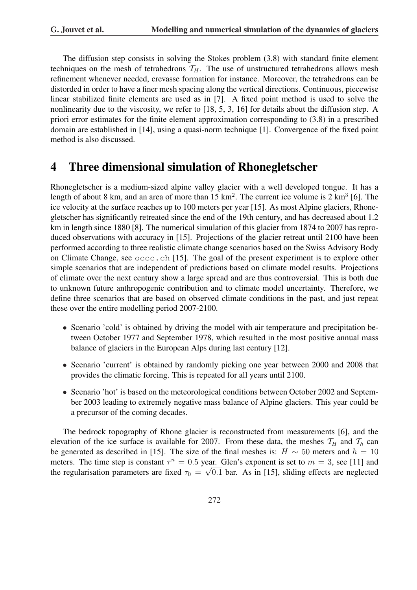The diffusion step consists in solving the Stokes problem (3.8) with standard finite element techniques on the mesh of tetrahedrons  $T_H$ . The use of unstructured tetrahedrons allows mesh refinement whenever needed, crevasse formation for instance. Moreover, the tetrahedrons can be distorded in order to have a finer mesh spacing along the vertical directions. Continuous, piecewise linear stabilized finite elements are used as in [7]. A fixed point method is used to solve the nonlinearity due to the viscosity, we refer to [18, 5, 3, 16] for details about the diffusion step. A priori error estimates for the finite element approximation corresponding to (3.8) in a prescribed domain are established in [14], using a quasi-norm technique [1]. Convergence of the fixed point method is also discussed.

# 4 Three dimensional simulation of Rhonegletscher

Rhonegletscher is a medium-sized alpine valley glacier with a well developed tongue. It has a length of about 8 km, and an area of more than  $15 \text{ km}^2$ . The current ice volume is 2 km<sup>3</sup> [6]. The ice velocity at the surface reaches up to 100 meters per year [15]. As most Alpine glaciers, Rhonegletscher has significantly retreated since the end of the 19th century, and has decreased about 1.2 km in length since 1880 [8]. The numerical simulation of this glacier from 1874 to 2007 has reproduced observations with accuracy in [15]. Projections of the glacier retreat until 2100 have been performed according to three realistic climate change scenarios based on the Swiss Advisory Body on Climate Change, see occc.ch [15]. The goal of the present experiment is to explore other simple scenarios that are independent of predictions based on climate model results. Projections of climate over the next century show a large spread and are thus controversial. This is both due to unknown future anthropogenic contribution and to climate model uncertainty. Therefore, we define three scenarios that are based on observed climate conditions in the past, and just repeat these over the entire modelling period 2007-2100.

- Scenario 'cold' is obtained by driving the model with air temperature and precipitation between October 1977 and September 1978, which resulted in the most positive annual mass balance of glaciers in the European Alps during last century [12].
- Scenario 'current' is obtained by randomly picking one year between 2000 and 2008 that provides the climatic forcing. This is repeated for all years until 2100.
- Scenario 'hot' is based on the meteorological conditions between October 2002 and September 2003 leading to extremely negative mass balance of Alpine glaciers. This year could be a precursor of the coming decades.

The bedrock topography of Rhone glacier is reconstructed from measurements [6], and the elevation of the ice surface is available for 2007. From these data, the meshes  $\mathcal{T}_H$  and  $\mathcal{T}_h$  can be generated as described in [15]. The size of the final meshes is:  $H \sim 50$  meters and  $h = 10$ meters. The time step is constant  $\tau^n = 0.5$  year. Glen's exponent is set to  $m = 3$ , see [11] and the regularisation parameters are fixed  $\tau_0 = \sqrt{0.1}$  bar. As in [15], sliding effects are neglected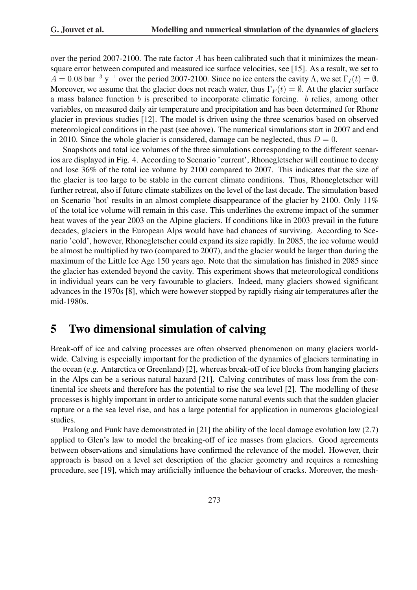over the period 2007-2100. The rate factor A has been calibrated such that it minimizes the meansquare error between computed and measured ice surface velocities, see [15]. As a result, we set to  $A = 0.08$  bar<sup>-3</sup> y<sup>-1</sup> over the period 2007-2100. Since no ice enters the cavity  $\Lambda$ , we set  $\Gamma_I(t) = \emptyset$ . Moreover, we assume that the glacier does not reach water, thus  $\Gamma_F(t) = \emptyset$ . At the glacier surface a mass balance function b is prescribed to incorporate climatic forcing. b relies, among other variables, on measured daily air temperature and precipitation and has been determined for Rhone glacier in previous studies [12]. The model is driven using the three scenarios based on observed meteorological conditions in the past (see above). The numerical simulations start in 2007 and end in 2010. Since the whole glacier is considered, damage can be neglected, thus  $D = 0$ .

Snapshots and total ice volumes of the three simulations corresponding to the different scenarios are displayed in Fig. 4. According to Scenario 'current', Rhonegletscher will continue to decay and lose 36% of the total ice volume by 2100 compared to 2007. This indicates that the size of the glacier is too large to be stable in the current climate conditions. Thus, Rhonegletscher will further retreat, also if future climate stabilizes on the level of the last decade. The simulation based on Scenario 'hot' results in an almost complete disappearance of the glacier by 2100. Only 11% of the total ice volume will remain in this case. This underlines the extreme impact of the summer heat waves of the year 2003 on the Alpine glaciers. If conditions like in 2003 prevail in the future decades, glaciers in the European Alps would have bad chances of surviving. According to Scenario 'cold', however, Rhonegletscher could expand its size rapidly. In 2085, the ice volume would be almost be multiplied by two (compared to 2007), and the glacier would be larger than during the maximum of the Little Ice Age 150 years ago. Note that the simulation has finished in 2085 since the glacier has extended beyond the cavity. This experiment shows that meteorological conditions in individual years can be very favourable to glaciers. Indeed, many glaciers showed significant advances in the 1970s [8], which were however stopped by rapidly rising air temperatures after the mid-1980s.

# 5 Two dimensional simulation of calving

Break-off of ice and calving processes are often observed phenomenon on many glaciers worldwide. Calving is especially important for the prediction of the dynamics of glaciers terminating in the ocean (e.g. Antarctica or Greenland) [2], whereas break-off of ice blocks from hanging glaciers in the Alps can be a serious natural hazard [21]. Calving contributes of mass loss from the continental ice sheets and therefore has the potential to rise the sea level [2]. The modelling of these processes is highly important in order to anticipate some natural events such that the sudden glacier rupture or a the sea level rise, and has a large potential for application in numerous glaciological studies.

Pralong and Funk have demonstrated in [21] the ability of the local damage evolution law (2.7) applied to Glen's law to model the breaking-off of ice masses from glaciers. Good agreements between observations and simulations have confirmed the relevance of the model. However, their approach is based on a level set description of the glacier geometry and requires a remeshing procedure, see [19], which may artificially influence the behaviour of cracks. Moreover, the mesh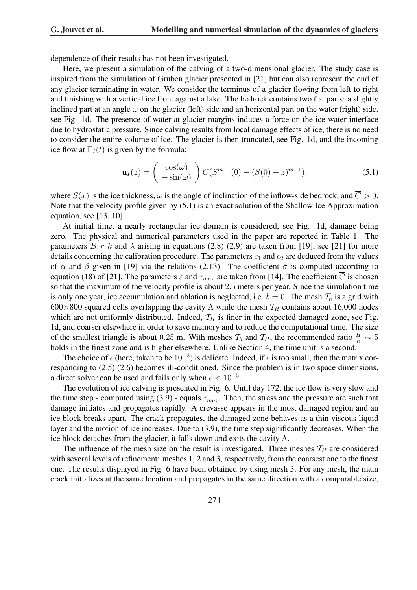dependence of their results has not been investigated.

Here, we present a simulation of the calving of a two-dimensional glacier. The study case is inspired from the simulation of Gruben glacier presented in [21] but can also represent the end of any glacier terminating in water. We consider the terminus of a glacier flowing from left to right and finishing with a vertical ice front against a lake. The bedrock contains two flat parts: a slightly inclined part at an angle  $\omega$  on the glacier (left) side and an horizontal part on the water (right) side, see Fig. 1d. The presence of water at glacier margins induces a force on the ice-water interface due to hydrostatic pressure. Since calving results from local damage effects of ice, there is no need to consider the entire volume of ice. The glacier is then truncated, see Fig. 1d, and the incoming ice flow at  $\Gamma_I(t)$  is given by the formula:

$$
\mathbf{u}_I(z) = \begin{pmatrix} \cos(\omega) \\ -\sin(\omega) \end{pmatrix} \overline{C} (S^{m+1}(0) - (S(0) - z)^{m+1}), \tag{5.1}
$$

where  $S(x)$  is the ice thickness,  $\omega$  is the angle of inclination of the inflow-side bedrock, and  $\overline{C} > 0$ . Note that the velocity profile given by (5.1) is an exact solution of the Shallow Ice Approximation equation, see [13, 10].

At initial time, a nearly rectangular ice domain is considered, see Fig. 1d, damage being zero. The physical and numerical parameters used in the paper are reported in Table 1. The parameters  $B, r, k$  and  $\lambda$  arising in equations (2.8) (2.9) are taken from [19], see [21] for more details concerning the calibration procedure. The parameters  $c_1$  and  $c_2$  are deduced from the values of  $\alpha$  and  $\beta$  given in [19] via the relations (2.13). The coefficient  $\bar{\sigma}$  is computed according to equation (18) of [21]. The parameters  $\varepsilon$  and  $\tau_{max}$  are taken from [14]. The coefficient  $\overline{C}$  is chosen so that the maximum of the velocity profile is about 2.5 meters per year. Since the simulation time is only one year, ice accumulation and ablation is neglected, i.e.  $b = 0$ . The mesh  $\mathcal{T}_h$  is a grid with 600×800 squared cells overlapping the cavity  $\Lambda$  while the mesh  $\mathcal{T}_H$  contains about 16,000 nodes which are not uniformly distributed. Indeed,  $T_H$  is finer in the expected damaged zone, see Fig. 1d, and coarser elsewhere in order to save memory and to reduce the computational time. The size of the smallest triangle is about 0.25 m. With meshes  $\mathcal{T}_h$  and  $\mathcal{T}_H$ , the recommended ratio  $\frac{H}{h} \sim 5$ holds in the finest zone and is higher elsewhere. Unlike Section 4, the time unit is a second.

The choice of  $\epsilon$  (here, taken to be  $10^{-3}$ ) is delicate. Indeed, if  $\epsilon$  is too small, then the matrix corresponding to (2.5) (2.6) becomes ill-conditioned. Since the problem is in two space dimensions, a direct solver can be used and fails only when  $\epsilon < 10^{-5}$ .

The evolution of ice calving is presented in Fig. 6. Until day 172, the ice flow is very slow and the time step - computed using (3.9) - equals  $\tau_{max}$ . Then, the stress and the pressure are such that damage initiates and propagates rapidly. A crevasse appears in the most damaged region and an ice block breaks apart. The crack propagates, the damaged zone behaves as a thin viscous liquid layer and the motion of ice increases. Due to (3.9), the time step significantly decreases. When the ice block detaches from the glacier, it falls down and exits the cavity  $\Lambda$ .

The influence of the mesh size on the result is investigated. Three meshes  $T_H$  are considered with several levels of refinement: meshes 1, 2 and 3, respectively, from the coarsest one to the finest one. The results displayed in Fig. 6 have been obtained by using mesh 3. For any mesh, the main crack initializes at the same location and propagates in the same direction with a comparable size,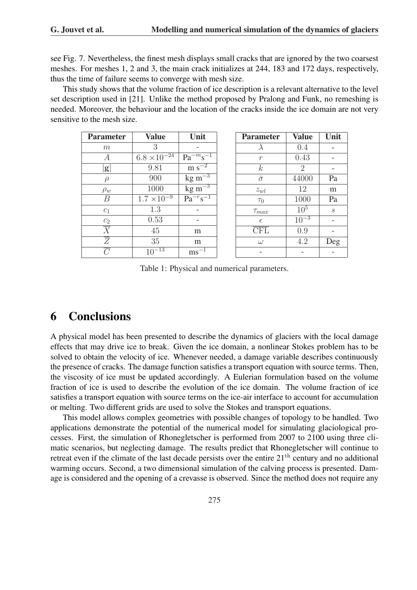Value | Unit  $0.4$  - $\overline{0.43}$  -

 $0.9$  ω 4.2 Deg

see Fig. 7. Nevertheless, the finest mesh displays small cracks that are ignored by the two coarsest meshes. For meshes 1, 2 and 3, the main crack initializes at 244, 183 and 172 days, respectively, thus the time of failure seems to converge with mesh size.

This study shows that the volume fraction of ice description is a relevant alternative to the level set description used in [21]. Unlike the method proposed by Pralong and Funk, no remeshing is needed. Moreover, the behaviour and the location of the cracks inside the ice domain are not very sensitive to the mesh size.

| <b>Parameter</b>          | <b>Value</b>          | Unit                         | <b>Parameter</b>        | <b>Value</b> | Un               |
|---------------------------|-----------------------|------------------------------|-------------------------|--------------|------------------|
| m                         | 3                     |                              |                         | 0.4          |                  |
| А                         | $6.8 \times 10^{-24}$ | $Pa^{-m} s^{-1}$             | $\mathcal{r}$           | 0.43         |                  |
| g                         | 9.81                  | $m s^{-2}$                   | $k_{\parallel}$         | 2            |                  |
| $\rho$                    | 900                   | $\text{kg} \, \text{m}^{-3}$ | $\bar{\sigma}$          | 44000        | Pa               |
| $\rho_w$                  | 1000                  | $\rm kg\,m^{-3}$             | $z_{wl}$                | 12           | m                |
| В                         | $1.7 \times 10^{-9}$  | $Pa^{-r}s^{-1}$              | $\tau_0$                | 1000         | Pa               |
| $c_1$                     | 1.3                   |                              | $\tau_{max}$            | $10^5$       | $\boldsymbol{s}$ |
| $\mathfrak{C}_2$          | 0.53                  |                              | $\epsilon$              | $10^{-3}$    |                  |
| $\overline{\overline{X}}$ | 45                    | m                            | $\overline{\text{CFL}}$ | 0.9          |                  |
| $\overline{Z}$            | 35                    | m                            | $\omega$                | 4.2          | De               |
| C                         | $10^{-13}$            | $\text{ms}^{-1}$             |                         |              |                  |

Table 1: Physical and numerical parameters.

## 6 Conclusions

A physical model has been presented to describe the dynamics of glaciers with the local damage effects that may drive ice to break. Given the ice domain, a nonlinear Stokes problem has to be solved to obtain the velocity of ice. Whenever needed, a damage variable describes continuously the presence of cracks. The damage function satisfies a transport equation with source terms. Then, the viscosity of ice must be updated accordingly. A Eulerian formulation based on the volume fraction of ice is used to describe the evolution of the ice domain. The volume fraction of ice satisfies a transport equation with source terms on the ice-air interface to account for accumulation or melting. Two different grids are used to solve the Stokes and transport equations.

This model allows complex geometries with possible changes of topology to be handled. Two applications demonstrate the potential of the numerical model for simulating glaciological processes. First, the simulation of Rhonegletscher is performed from 2007 to 2100 using three climatic scenarios, but neglecting damage. The results predict that Rhonegletscher will continue to retreat even if the climate of the last decade persists over the entire  $21<sup>th</sup>$  century and no additional warming occurs. Second, a two dimensional simulation of the calving process is presented. Damage is considered and the opening of a crevasse is observed. Since the method does not require any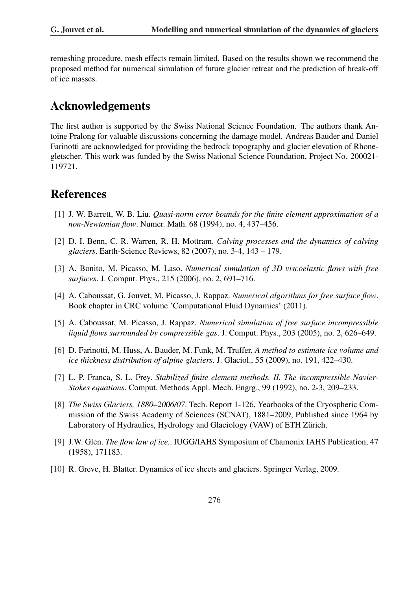remeshing procedure, mesh effects remain limited. Based on the results shown we recommend the proposed method for numerical simulation of future glacier retreat and the prediction of break-off of ice masses.

# Acknowledgements

The first author is supported by the Swiss National Science Foundation. The authors thank Antoine Pralong for valuable discussions concerning the damage model. Andreas Bauder and Daniel Farinotti are acknowledged for providing the bedrock topography and glacier elevation of Rhonegletscher. This work was funded by the Swiss National Science Foundation, Project No. 200021- 119721.

# References

- [1] J. W. Barrett, W. B. Liu. *Quasi-norm error bounds for the finite element approximation of a non-Newtonian flow*. Numer. Math. 68 (1994), no. 4, 437–456.
- [2] D. I. Benn, C. R. Warren, R. H. Mottram. *Calving processes and the dynamics of calving glaciers*. Earth-Science Reviews, 82 (2007), no. 3-4, 143 – 179.
- [3] A. Bonito, M. Picasso, M. Laso. *Numerical simulation of 3D viscoelastic flows with free surfaces*. J. Comput. Phys., 215 (2006), no. 2, 691–716.
- [4] A. Caboussat, G. Jouvet, M. Picasso, J. Rappaz. *Numerical algorithms for free surface flow*. Book chapter in CRC volume 'Computational Fluid Dynamics' (2011).
- [5] A. Caboussat, M. Picasso, J. Rappaz. *Numerical simulation of free surface incompressible liquid flows surrounded by compressible gas*. J. Comput. Phys., 203 (2005), no. 2, 626–649.
- [6] D. Farinotti, M. Huss, A. Bauder, M. Funk, M. Truffer, *A method to estimate ice volume and ice thickness distribution of alpine glaciers*. J. Glaciol., 55 (2009), no. 191, 422–430.
- [7] L. P. Franca, S. L. Frey. *Stabilized finite element methods. II. The incompressible Navier-Stokes equations*. Comput. Methods Appl. Mech. Engrg., 99 (1992), no. 2-3, 209–233.
- [8] *The Swiss Glaciers, 1880–2006/07*. Tech. Report 1-126, Yearbooks of the Cryospheric Commission of the Swiss Academy of Sciences (SCNAT), 1881–2009, Published since 1964 by Laboratory of Hydraulics, Hydrology and Glaciology (VAW) of ETH Zürich.
- [9] J.W. Glen. *The flow law of ice.*. IUGG/IAHS Symposium of Chamonix IAHS Publication, 47 (1958), 171183.
- [10] R. Greve, H. Blatter. Dynamics of ice sheets and glaciers. Springer Verlag, 2009.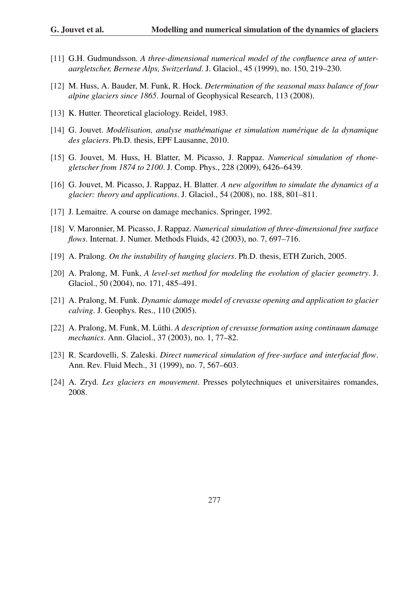- [11] G.H. Gudmundsson. A three-dimensional numerical model of the confluence area of unter*aargletscher, Bernese Alps, Switzerland*. J. Glaciol., 45 (1999), no. 150, 219–230.
- [12] M. Huss, A. Bauder, M. Funk, R. Hock. *Determination of the seasonal mass balance of four alpine glaciers since 1865*. Journal of Geophysical Research, 113 (2008).
- [13] K. Hutter. Theoretical glaciology. Reidel, 1983.
- [14] G. Jouvet. *Modelisation, analyse math ´ ematique et simulation num ´ erique de la dynamique ´ des glaciers*. Ph.D. thesis, EPF Lausanne, 2010.
- [15] G. Jouvet, M. Huss, H. Blatter, M. Picasso, J. Rappaz. *Numerical simulation of rhonegletscher from 1874 to 2100*. J. Comp. Phys., 228 (2009), 6426–6439.
- [16] G. Jouvet, M. Picasso, J. Rappaz, H. Blatter. *A new algorithm to simulate the dynamics of a glacier: theory and applications*. J. Glaciol., 54 (2008), no. 188, 801–811.
- [17] J. Lemaitre. A course on damage mechanics. Springer, 1992.
- [18] V. Maronnier, M. Picasso, J. Rappaz. *Numerical simulation of three-dimensional free surface flows*. Internat. J. Numer. Methods Fluids, 42 (2003), no. 7, 697–716.
- [19] A. Pralong. *On the instability of hanging glaciers*. Ph.D. thesis, ETH Zurich, 2005.
- [20] A. Pralong, M. Funk, *A level-set method for modeling the evolution of glacier geometry*. J. Glaciol., 50 (2004), no. 171, 485–491.
- [21] A. Pralong, M. Funk. *Dynamic damage model of crevasse opening and application to glacier calving*. J. Geophys. Res., 110 (2005).
- [22] A. Pralong, M. Funk, M. Lüthi. A *description of crevasse formation using continuum damage mechanics*. Ann. Glaciol., 37 (2003), no. 1, 77–82.
- [23] R. Scardovelli, S. Zaleski. *Direct numerical simulation of free-surface and interfacial flow*. Ann. Rev. Fluid Mech., 31 (1999), no. 7, 567–603.
- [24] A. Zryd. *Les glaciers en mouvement*. Presses polytechniques et universitaires romandes, 2008.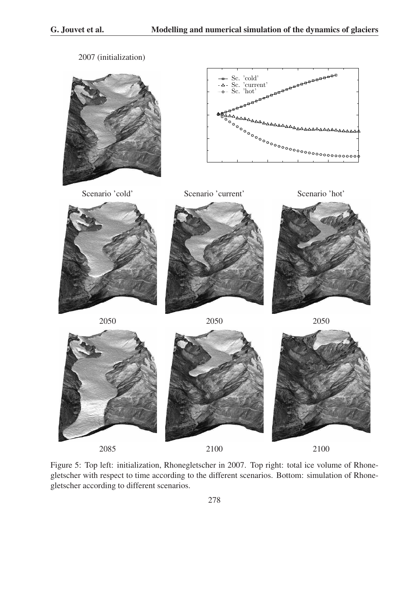2007 (initialization)









Figure 5: Top left: initialization, Rhonegletscher in 2007. Top right: total ice volume of Rhonegletscher with respect to time according to the different scenarios. Bottom: simulation of Rhonegletscher according to different scenarios.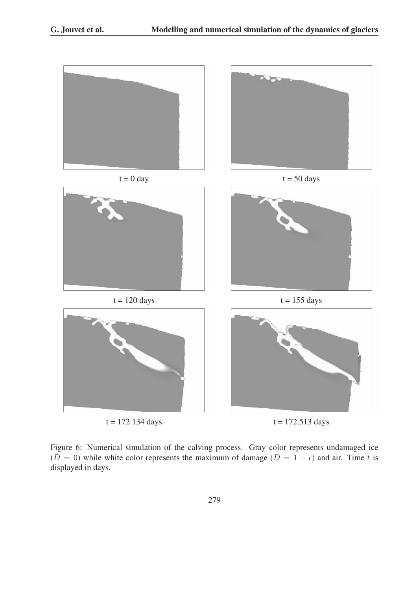

Figure 6: Numerical simulation of the calving process. Gray color represents undamaged ice  $(D = 0)$  while white color represents the maximum of damage  $(D = 1 - \epsilon)$  and air. Time t is displayed in days.